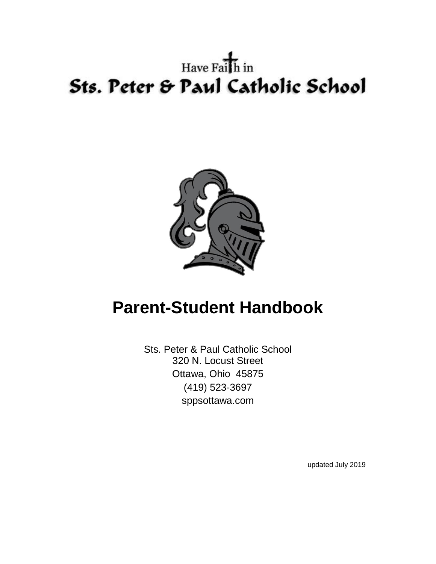# Have  $\overrightarrow{Pa1}$  h in Sts. Peter & Paul Catholic School



# **Parent-Student Handbook**

Sts. Peter & Paul Catholic School 320 N. Locust Street Ottawa, Ohio 45875 (419) 523-3697 sppsottawa.com

updated July 2019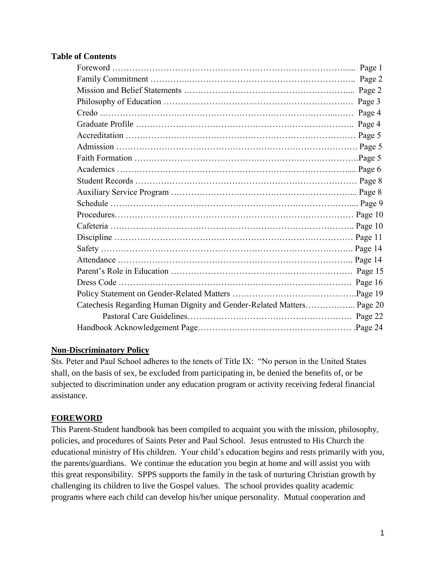#### **Table of Contents**

|                                                                       | Page 3 |
|-----------------------------------------------------------------------|--------|
|                                                                       | Page 4 |
|                                                                       |        |
|                                                                       |        |
|                                                                       |        |
|                                                                       |        |
|                                                                       |        |
|                                                                       |        |
|                                                                       |        |
|                                                                       |        |
|                                                                       |        |
|                                                                       |        |
|                                                                       |        |
|                                                                       |        |
|                                                                       |        |
|                                                                       |        |
|                                                                       |        |
|                                                                       |        |
| Catechesis Regarding Human Dignity and Gender-Related Matters Page 20 |        |
|                                                                       |        |
|                                                                       |        |

#### **Non-Discriminatory Policy**

Sts. Peter and Paul School adheres to the tenets of Title IX: "No person in the United States shall, on the basis of sex, be excluded from participating in, be denied the benefits of, or be subjected to discrimination under any education program or activity receiving federal financial assistance.

#### **FOREWORD**

This Parent-Student handbook has been compiled to acquaint you with the mission, philosophy, policies, and procedures of Saints Peter and Paul School. Jesus entrusted to His Church the educational ministry of His children. Your child's education begins and rests primarily with you, the parents/guardians. We continue the education you begin at home and will assist you with this great responsibility. SPPS supports the family in the task of nurturing Christian growth by challenging its children to live the Gospel values. The school provides quality academic programs where each child can develop his/her unique personality. Mutual cooperation and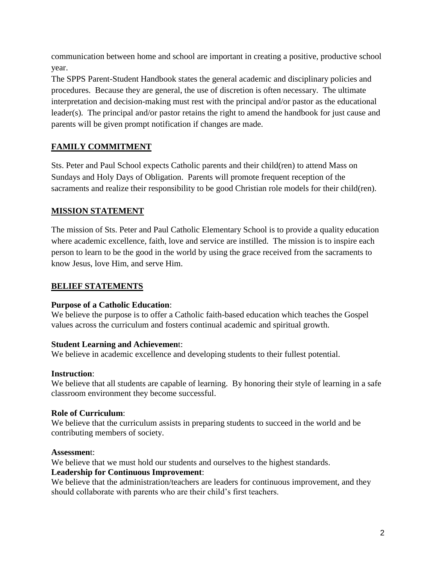communication between home and school are important in creating a positive, productive school year.

The SPPS Parent-Student Handbook states the general academic and disciplinary policies and procedures. Because they are general, the use of discretion is often necessary. The ultimate interpretation and decision-making must rest with the principal and/or pastor as the educational leader(s). The principal and/or pastor retains the right to amend the handbook for just cause and parents will be given prompt notification if changes are made.

# **FAMILY COMMITMENT**

Sts. Peter and Paul School expects Catholic parents and their child(ren) to attend Mass on Sundays and Holy Days of Obligation. Parents will promote frequent reception of the sacraments and realize their responsibility to be good Christian role models for their child(ren).

# **MISSION STATEMENT**

The mission of Sts. Peter and Paul Catholic Elementary School is to provide a quality education where academic excellence, faith, love and service are instilled. The mission is to inspire each person to learn to be the good in the world by using the grace received from the sacraments to know Jesus, love Him, and serve Him.

# **BELIEF STATEMENTS**

#### **Purpose of a Catholic Education**:

We believe the purpose is to offer a Catholic faith-based education which teaches the Gospel values across the curriculum and fosters continual academic and spiritual growth.

# **Student Learning and Achievemen**t:

We believe in academic excellence and developing students to their fullest potential.

# **Instruction**:

We believe that all students are capable of learning. By honoring their style of learning in a safe classroom environment they become successful.

# **Role of Curriculum**:

We believe that the curriculum assists in preparing students to succeed in the world and be contributing members of society.

#### **Assessmen**t:

We believe that we must hold our students and ourselves to the highest standards.

#### **Leadership for Continuous Improvement**:

We believe that the administration/teachers are leaders for continuous improvement, and they should collaborate with parents who are their child's first teachers.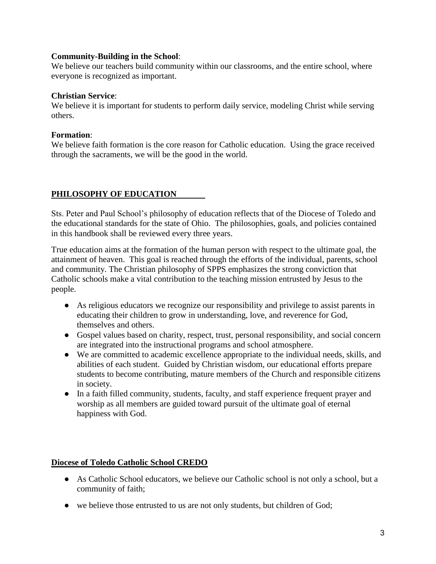#### **Community-Building in the School**:

We believe our teachers build community within our classrooms, and the entire school, where everyone is recognized as important.

#### **Christian Service**:

We believe it is important for students to perform daily service, modeling Christ while serving others.

#### **Formation**:

We believe faith formation is the core reason for Catholic education. Using the grace received through the sacraments, we will be the good in the world.

#### **PHILOSOPHY OF EDUCATION**

Sts. Peter and Paul School's philosophy of education reflects that of the Diocese of Toledo and the educational standards for the state of Ohio. The philosophies, goals, and policies contained in this handbook shall be reviewed every three years.

True education aims at the formation of the human person with respect to the ultimate goal, the attainment of heaven. This goal is reached through the efforts of the individual, parents, school and community. The Christian philosophy of SPPS emphasizes the strong conviction that Catholic schools make a vital contribution to the teaching mission entrusted by Jesus to the people.

- As religious educators we recognize our responsibility and privilege to assist parents in educating their children to grow in understanding, love, and reverence for God, themselves and others.
- Gospel values based on charity, respect, trust, personal responsibility, and social concern are integrated into the instructional programs and school atmosphere.
- We are committed to academic excellence appropriate to the individual needs, skills, and abilities of each student. Guided by Christian wisdom, our educational efforts prepare students to become contributing, mature members of the Church and responsible citizens in society.
- In a faith filled community, students, faculty, and staff experience frequent prayer and worship as all members are guided toward pursuit of the ultimate goal of eternal happiness with God.

#### **Diocese of Toledo Catholic School CREDO**

- As Catholic School educators, we believe our Catholic school is not only a school, but a community of faith;
- we believe those entrusted to us are not only students, but children of God;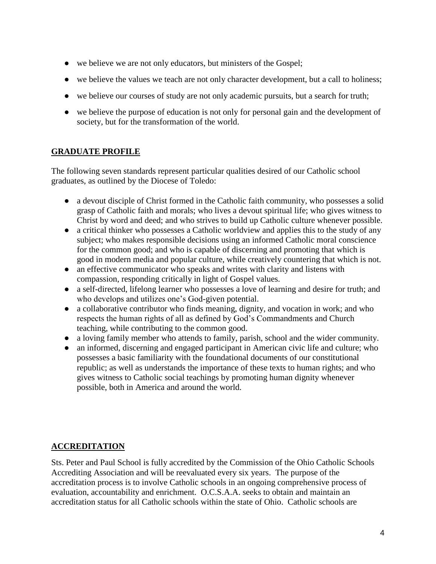- we believe we are not only educators, but ministers of the Gospel;
- we believe the values we teach are not only character development, but a call to holiness;
- we believe our courses of study are not only academic pursuits, but a search for truth;
- we believe the purpose of education is not only for personal gain and the development of society, but for the transformation of the world.

# **GRADUATE PROFILE**

The following seven standards represent particular qualities desired of our Catholic school graduates, as outlined by the Diocese of Toledo:

- a devout disciple of Christ formed in the Catholic faith community, who possesses a solid grasp of Catholic faith and morals; who lives a devout spiritual life; who gives witness to Christ by word and deed; and who strives to build up Catholic culture whenever possible.
- a critical thinker who possesses a Catholic worldview and applies this to the study of any subject; who makes responsible decisions using an informed Catholic moral conscience for the common good; and who is capable of discerning and promoting that which is good in modern media and popular culture, while creatively countering that which is not.
- an effective communicator who speaks and writes with clarity and listens with compassion, responding critically in light of Gospel values.
- a self-directed, lifelong learner who possesses a love of learning and desire for truth; and who develops and utilizes one's God-given potential.
- a collaborative contributor who finds meaning, dignity, and vocation in work; and who respects the human rights of all as defined by God's Commandments and Church teaching, while contributing to the common good.
- a loving family member who attends to family, parish, school and the wider community.
- an informed, discerning and engaged participant in American civic life and culture; who possesses a basic familiarity with the foundational documents of our constitutional republic; as well as understands the importance of these texts to human rights; and who gives witness to Catholic social teachings by promoting human dignity whenever possible, both in America and around the world.

# **ACCREDITATION**

Sts. Peter and Paul School is fully accredited by the Commission of the Ohio Catholic Schools Accrediting Association and will be reevaluated every six years. The purpose of the accreditation process is to involve Catholic schools in an ongoing comprehensive process of evaluation, accountability and enrichment. O.C.S.A.A. seeks to obtain and maintain an accreditation status for all Catholic schools within the state of Ohio. Catholic schools are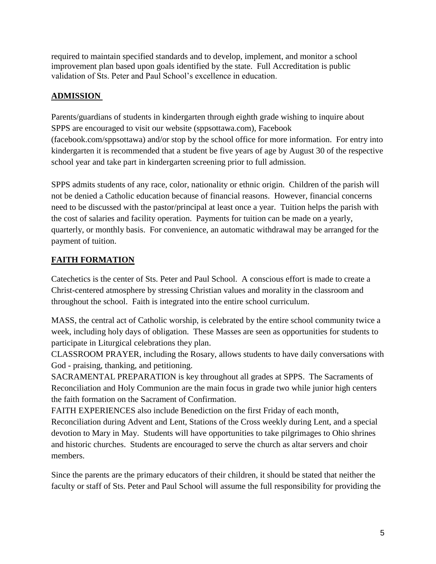required to maintain specified standards and to develop, implement, and monitor a school improvement plan based upon goals identified by the state. Full Accreditation is public validation of Sts. Peter and Paul School's excellence in education.

# **ADMISSION**

Parents/guardians of students in kindergarten through eighth grade wishing to inquire about SPPS are encouraged to visit our website (sppsottawa.com), Facebook (facebook.com/sppsottawa) and/or stop by the school office for more information. For entry into kindergarten it is recommended that a student be five years of age by August 30 of the respective school year and take part in kindergarten screening prior to full admission.

SPPS admits students of any race, color, nationality or ethnic origin. Children of the parish will not be denied a Catholic education because of financial reasons. However, financial concerns need to be discussed with the pastor/principal at least once a year. Tuition helps the parish with the cost of salaries and facility operation. Payments for tuition can be made on a yearly, quarterly, or monthly basis. For convenience, an automatic withdrawal may be arranged for the payment of tuition.

# **FAITH FORMATION**

Catechetics is the center of Sts. Peter and Paul School. A conscious effort is made to create a Christ-centered atmosphere by stressing Christian values and morality in the classroom and throughout the school. Faith is integrated into the entire school curriculum.

MASS, the central act of Catholic worship, is celebrated by the entire school community twice a week, including holy days of obligation. These Masses are seen as opportunities for students to participate in Liturgical celebrations they plan.

CLASSROOM PRAYER, including the Rosary, allows students to have daily conversations with God - praising, thanking, and petitioning.

SACRAMENTAL PREPARATION is key throughout all grades at SPPS. The Sacraments of Reconciliation and Holy Communion are the main focus in grade two while junior high centers the faith formation on the Sacrament of Confirmation.

FAITH EXPERIENCES also include Benediction on the first Friday of each month,

Reconciliation during Advent and Lent, Stations of the Cross weekly during Lent, and a special devotion to Mary in May. Students will have opportunities to take pilgrimages to Ohio shrines and historic churches. Students are encouraged to serve the church as altar servers and choir members.

Since the parents are the primary educators of their children, it should be stated that neither the faculty or staff of Sts. Peter and Paul School will assume the full responsibility for providing the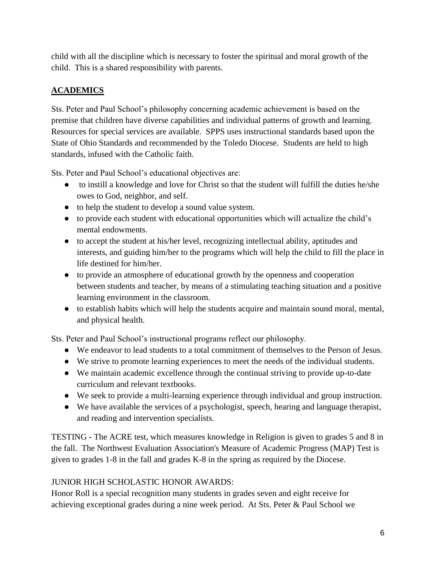child with all the discipline which is necessary to foster the spiritual and moral growth of the child. This is a shared responsibility with parents.

# **ACADEMICS**

Sts. Peter and Paul School's philosophy concerning academic achievement is based on the premise that children have diverse capabilities and individual patterns of growth and learning. Resources for special services are available. SPPS uses instructional standards based upon the State of Ohio Standards and recommended by the Toledo Diocese. Students are held to high standards, infused with the Catholic faith.

Sts. Peter and Paul School's educational objectives are:

- to instill a knowledge and love for Christ so that the student will fulfill the duties he/she owes to God, neighbor, and self.
- to help the student to develop a sound value system.
- to provide each student with educational opportunities which will actualize the child's mental endowments.
- to accept the student at his/her level, recognizing intellectual ability, aptitudes and interests, and guiding him/her to the programs which will help the child to fill the place in life destined for him/her.
- to provide an atmosphere of educational growth by the openness and cooperation between students and teacher, by means of a stimulating teaching situation and a positive learning environment in the classroom.
- to establish habits which will help the students acquire and maintain sound moral, mental, and physical health.

Sts. Peter and Paul School's instructional programs reflect our philosophy.

- We endeavor to lead students to a total commitment of themselves to the Person of Jesus.
- We strive to promote learning experiences to meet the needs of the individual students.
- We maintain academic excellence through the continual striving to provide up-to-date curriculum and relevant textbooks.
- We seek to provide a multi-learning experience through individual and group instruction.
- We have available the services of a psychologist, speech, hearing and language therapist, and reading and intervention specialists.

TESTING - The ACRE test, which measures knowledge in Religion is given to grades 5 and 8 in the fall. The Northwest Evaluation Association's Measure of Academic Progress (MAP) Test is given to grades 1-8 in the fall and grades K-8 in the spring as required by the Diocese.

# JUNIOR HIGH SCHOLASTIC HONOR AWARDS:

Honor Roll is a special recognition many students in grades seven and eight receive for achieving exceptional grades during a nine week period. At Sts. Peter & Paul School we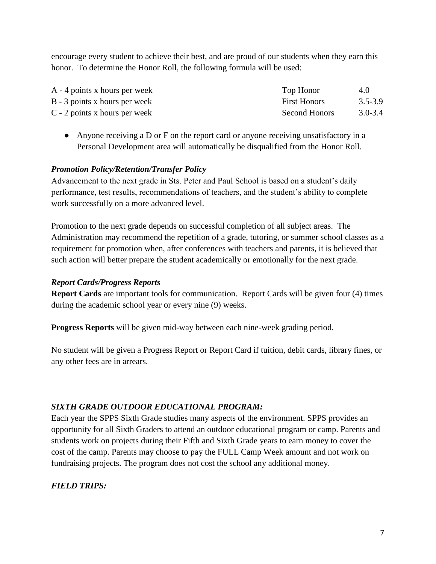encourage every student to achieve their best, and are proud of our students when they earn this honor. To determine the Honor Roll, the following formula will be used:

| $A - 4$ points x hours per week | Top Honor            | 4.0         |
|---------------------------------|----------------------|-------------|
| B - 3 points x hours per week   | <b>First Honors</b>  | $3.5 - 3.9$ |
| $C - 2$ points x hours per week | <b>Second Honors</b> | $3.0 - 3.4$ |

● Anyone receiving a D or F on the report card or anyone receiving unsatisfactory in a Personal Development area will automatically be disqualified from the Honor Roll.

#### *Promotion Policy/Retention/Transfer Policy*

Advancement to the next grade in Sts. Peter and Paul School is based on a student's daily performance, test results, recommendations of teachers, and the student's ability to complete work successfully on a more advanced level.

Promotion to the next grade depends on successful completion of all subject areas. The Administration may recommend the repetition of a grade, tutoring, or summer school classes as a requirement for promotion when, after conferences with teachers and parents, it is believed that such action will better prepare the student academically or emotionally for the next grade.

#### *Report Cards/Progress Reports*

**Report Cards** are important tools for communication. Report Cards will be given four (4) times during the academic school year or every nine (9) weeks.

**Progress Reports** will be given mid-way between each nine-week grading period.

No student will be given a Progress Report or Report Card if tuition, debit cards, library fines, or any other fees are in arrears.

#### *SIXTH GRADE OUTDOOR EDUCATIONAL PROGRAM:*

Each year the SPPS Sixth Grade studies many aspects of the environment. SPPS provides an opportunity for all Sixth Graders to attend an outdoor educational program or camp. Parents and students work on projects during their Fifth and Sixth Grade years to earn money to cover the cost of the camp. Parents may choose to pay the FULL Camp Week amount and not work on fundraising projects. The program does not cost the school any additional money.

#### *FIELD TRIPS:*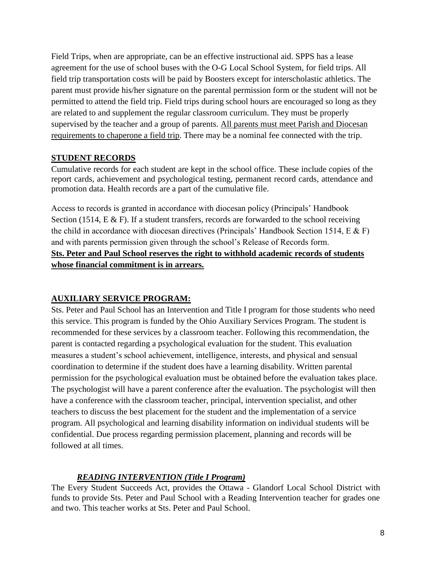Field Trips, when are appropriate, can be an effective instructional aid. SPPS has a lease agreement for the use of school buses with the O-G Local School System, for field trips. All field trip transportation costs will be paid by Boosters except for interscholastic athletics. The parent must provide his/her signature on the parental permission form or the student will not be permitted to attend the field trip. Field trips during school hours are encouraged so long as they are related to and supplement the regular classroom curriculum. They must be properly supervised by the teacher and a group of parents. All parents must meet Parish and Diocesan requirements to chaperone a field trip. There may be a nominal fee connected with the trip.

#### **STUDENT RECORDS**

Cumulative records for each student are kept in the school office. These include copies of the report cards, achievement and psychological testing, permanent record cards, attendance and promotion data. Health records are a part of the cumulative file.

Access to records is granted in accordance with diocesan policy (Principals' Handbook Section (1514,  $E \& F$ ). If a student transfers, records are forwarded to the school receiving the child in accordance with diocesan directives (Principals' Handbook Section 1514, E & F) and with parents permission given through the school's Release of Records form. **Sts. Peter and Paul School reserves the right to withhold academic records of students whose financial commitment is in arrears.**

# **AUXILIARY SERVICE PROGRAM:**

Sts. Peter and Paul School has an Intervention and Title I program for those students who need this service. This program is funded by the Ohio Auxiliary Services Program. The student is recommended for these services by a classroom teacher. Following this recommendation, the parent is contacted regarding a psychological evaluation for the student. This evaluation measures a student's school achievement, intelligence, interests, and physical and sensual coordination to determine if the student does have a learning disability. Written parental permission for the psychological evaluation must be obtained before the evaluation takes place. The psychologist will have a parent conference after the evaluation. The psychologist will then have a conference with the classroom teacher, principal, intervention specialist, and other teachers to discuss the best placement for the student and the implementation of a service program. All psychological and learning disability information on individual students will be confidential. Due process regarding permission placement, planning and records will be followed at all times.

# *READING INTERVENTION (Title I Program)*

The Every Student Succeeds Act, provides the Ottawa - Glandorf Local School District with funds to provide Sts. Peter and Paul School with a Reading Intervention teacher for grades one and two. This teacher works at Sts. Peter and Paul School.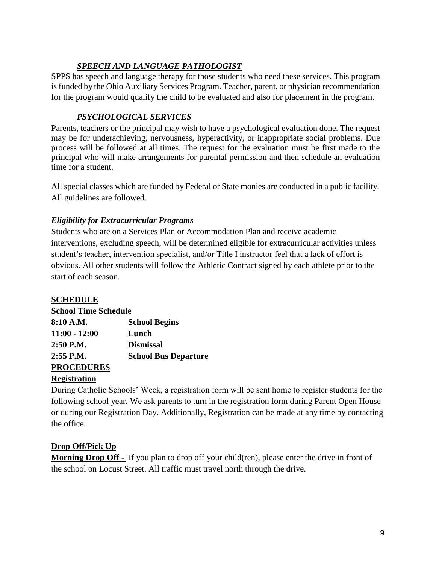# *SPEECH AND LANGUAGE PATHOLOGIST*

SPPS has speech and language therapy for those students who need these services. This program is funded by the Ohio Auxiliary Services Program. Teacher, parent, or physician recommendation for the program would qualify the child to be evaluated and also for placement in the program.

# *PSYCHOLOGICAL SERVICES*

Parents, teachers or the principal may wish to have a psychological evaluation done. The request may be for underachieving, nervousness, hyperactivity, or inappropriate social problems. Due process will be followed at all times. The request for the evaluation must be first made to the principal who will make arrangements for parental permission and then schedule an evaluation time for a student.

All special classes which are funded by Federal or State monies are conducted in a public facility. All guidelines are followed.

# *Eligibility for Extracurricular Programs*

Students who are on a Services Plan or Accommodation Plan and receive academic interventions, excluding speech, will be determined eligible for extracurricular activities unless student's teacher, intervention specialist, and/or Title I instructor feel that a lack of effort is obvious. All other students will follow the Athletic Contract signed by each athlete prior to the start of each season.

# **SCHEDULE**

| <b>School Time Schedule</b> |  |  |
|-----------------------------|--|--|
|                             |  |  |

| 8:10 A.M.         | <b>School Begins</b>        |
|-------------------|-----------------------------|
| $11:00 - 12:00$   | Lunch                       |
| 2:50 P.M.         | <b>Dismissal</b>            |
| $2:55$ P.M.       | <b>School Bus Departure</b> |
| <b>PROCEDURES</b> |                             |

# **Registration**

During Catholic Schools' Week, a registration form will be sent home to register students for the following school year. We ask parents to turn in the registration form during Parent Open House or during our Registration Day. Additionally, Registration can be made at any time by contacting the office.

# **Drop Off/Pick Up**

**Morning Drop Off** - If you plan to drop off your child(ren), please enter the drive in front of the school on Locust Street. All traffic must travel north through the drive.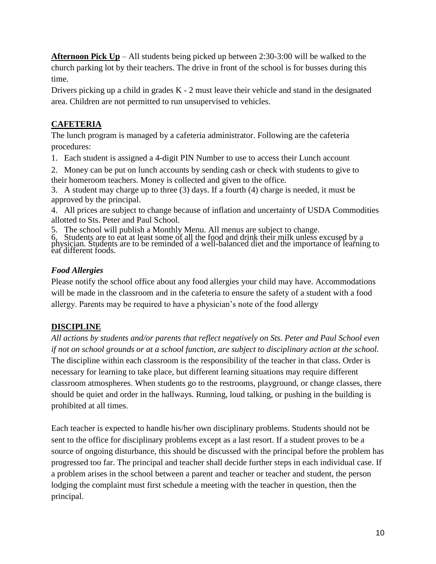**Afternoon Pick Up** – All students being picked up between 2:30-3:00 will be walked to the church parking lot by their teachers. The drive in front of the school is for busses during this time.

Drivers picking up a child in grades K - 2 must leave their vehicle and stand in the designated area. Children are not permitted to run unsupervised to vehicles.

# **CAFETERIA**

The lunch program is managed by a cafeteria administrator. Following are the cafeteria procedures:

1. Each student is assigned a 4-digit PIN Number to use to access their Lunch account

2. Money can be put on lunch accounts by sending cash or check with students to give to their homeroom teachers. Money is collected and given to the office.

3. A student may charge up to three (3) days. If a fourth (4) charge is needed, it must be approved by the principal.

4. All prices are subject to change because of inflation and uncertainty of USDA Commodities allotted to Sts. Peter and Paul School.

5. The school will publish a Monthly Menu. All menus are subject to change.

6. Students are to eat at least some of all the food and drink their milk unless excused by a physician. Students are to be reminded of a well-balanced diet and the importance of learning to eat different foods.

# *Food Allergies*

Please notify the school office about any food allergies your child may have. Accommodations will be made in the classroom and in the cafeteria to ensure the safety of a student with a food allergy. Parents may be required to have a physician's note of the food allergy

# **DISCIPLINE**

*All actions by students and/or parents that reflect negatively on Sts. Peter and Paul School even if not on school grounds or at a school function, are subject to disciplinary action at the school.*  The discipline within each classroom is the responsibility of the teacher in that class. Order is necessary for learning to take place, but different learning situations may require different classroom atmospheres. When students go to the restrooms, playground, or change classes, there should be quiet and order in the hallways. Running, loud talking, or pushing in the building is prohibited at all times.

Each teacher is expected to handle his/her own disciplinary problems. Students should not be sent to the office for disciplinary problems except as a last resort. If a student proves to be a source of ongoing disturbance, this should be discussed with the principal before the problem has progressed too far. The principal and teacher shall decide further steps in each individual case. If a problem arises in the school between a parent and teacher or teacher and student, the person lodging the complaint must first schedule a meeting with the teacher in question, then the principal.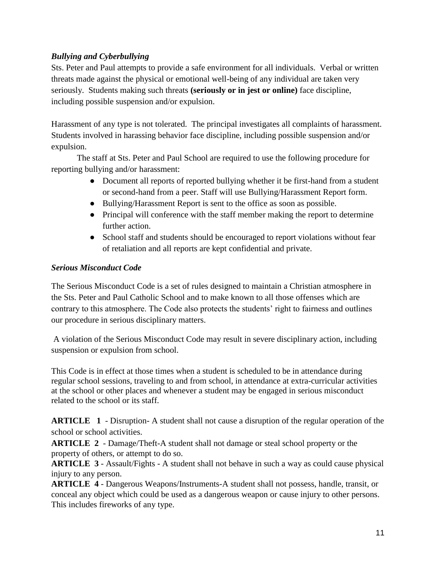# *Bullying and Cyberbullying*

Sts. Peter and Paul attempts to provide a safe environment for all individuals. Verbal or written threats made against the physical or emotional well-being of any individual are taken very seriously. Students making such threats **(seriously or in jest or online)** face discipline, including possible suspension and/or expulsion.

Harassment of any type is not tolerated. The principal investigates all complaints of harassment. Students involved in harassing behavior face discipline, including possible suspension and/or expulsion.

The staff at Sts. Peter and Paul School are required to use the following procedure for reporting bullying and/or harassment:

- Document all reports of reported bullying whether it be first-hand from a student or second-hand from a peer. Staff will use Bullying/Harassment Report form.
- Bullying/Harassment Report is sent to the office as soon as possible.
- Principal will conference with the staff member making the report to determine further action.
- School staff and students should be encouraged to report violations without fear of retaliation and all reports are kept confidential and private.

#### *Serious Misconduct Code*

The Serious Misconduct Code is a set of rules designed to maintain a Christian atmosphere in the Sts. Peter and Paul Catholic School and to make known to all those offenses which are contrary to this atmosphere. The Code also protects the students' right to fairness and outlines our procedure in serious disciplinary matters.

A violation of the Serious Misconduct Code may result in severe disciplinary action, including suspension or expulsion from school.

This Code is in effect at those times when a student is scheduled to be in attendance during regular school sessions, traveling to and from school, in attendance at extra-curricular activities at the school or other places and whenever a student may be engaged in serious misconduct related to the school or its staff.

**ARTICLE 1** - Disruption- A student shall not cause a disruption of the regular operation of the school or school activities.

**ARTICLE 2** - Damage/Theft-A student shall not damage or steal school property or the property of others, or attempt to do so.

**ARTICLE 3** - Assault/Fights - A student shall not behave in such a way as could cause physical injury to any person.

**ARTICLE 4** - Dangerous Weapons/Instruments-A student shall not possess, handle, transit, or conceal any object which could be used as a dangerous weapon or cause injury to other persons. This includes fireworks of any type.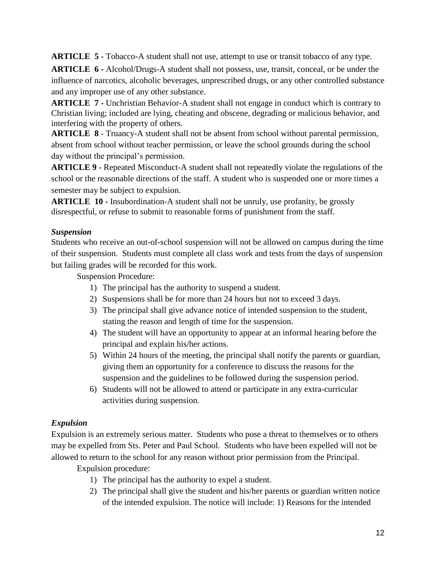**ARTICLE 5** - Tobacco-A student shall not use, attempt to use or transit tobacco of any type.

**ARTICLE 6 -** Alcohol/Drugs-A student shall not possess, use, transit, conceal, or be under the influence of narcotics, alcoholic beverages, unprescribed drugs, or any other controlled substance and any improper use of any other substance.

**ARTICLE 7 -** Unchristian Behavior-A student shall not engage in conduct which is contrary to Christian living; included are lying, cheating and obscene, degrading or malicious behavior, and interfering with the property of others.

**ARTICLE 8** - Truancy-A student shall not be absent from school without parental permission, absent from school without teacher permission, or leave the school grounds during the school day without the principal's permission.

**ARTICLE 9 -** Repeated Misconduct-A student shall not repeatedly violate the regulations of the school or the reasonable directions of the staff. A student who is suspended one or more times a semester may be subject to expulsion.

**ARTICLE 10 -** Insubordination-A student shall not be unruly, use profanity, be grossly disrespectful, or refuse to submit to reasonable forms of punishment from the staff.

# *Suspension*

Students who receive an out-of-school suspension will not be allowed on campus during the time of their suspension. Students must complete all class work and tests from the days of suspension but failing grades will be recorded for this work.

Suspension Procedure:

- 1) The principal has the authority to suspend a student.
- 2) Suspensions shall be for more than 24 hours but not to exceed 3 days.
- 3) The principal shall give advance notice of intended suspension to the student, stating the reason and length of time for the suspension.
- 4) The student will have an opportunity to appear at an informal hearing before the principal and explain his/her actions.
- 5) Within 24 hours of the meeting, the principal shall notify the parents or guardian, giving them an opportunity for a conference to discuss the reasons for the suspension and the guidelines to be followed during the suspension period.
- 6) Students will not be allowed to attend or participate in any extra-curricular activities during suspension.

# *Expulsion*

Expulsion is an extremely serious matter. Students who pose a threat to themselves or to others may be expelled from Sts. Peter and Paul School. Students who have been expelled will not be allowed to return to the school for any reason without prior permission from the Principal.

Expulsion procedure:

- 1) The principal has the authority to expel a student.
- 2) The principal shall give the student and his/her parents or guardian written notice of the intended expulsion. The notice will include: 1) Reasons for the intended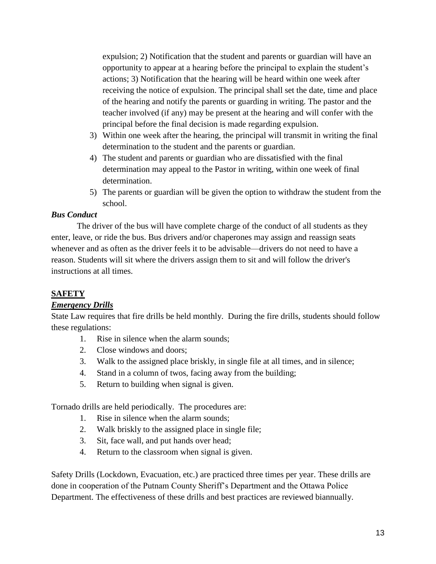expulsion; 2) Notification that the student and parents or guardian will have an opportunity to appear at a hearing before the principal to explain the student's actions; 3) Notification that the hearing will be heard within one week after receiving the notice of expulsion. The principal shall set the date, time and place of the hearing and notify the parents or guarding in writing. The pastor and the teacher involved (if any) may be present at the hearing and will confer with the principal before the final decision is made regarding expulsion.

- 3) Within one week after the hearing, the principal will transmit in writing the final determination to the student and the parents or guardian.
- 4) The student and parents or guardian who are dissatisfied with the final determination may appeal to the Pastor in writing, within one week of final determination.
- 5) The parents or guardian will be given the option to withdraw the student from the school.

#### *Bus Conduct*

The driver of the bus will have complete charge of the conduct of all students as they enter, leave, or ride the bus. Bus drivers and/or chaperones may assign and reassign seats whenever and as often as the driver feels it to be advisable—drivers do not need to have a reason. Students will sit where the drivers assign them to sit and will follow the driver's instructions at all times.

# **SAFETY**

# *Emergency Drills*

State Law requires that fire drills be held monthly. During the fire drills, students should follow these regulations:

- 1. Rise in silence when the alarm sounds;
- 2. Close windows and doors;
- 3. Walk to the assigned place briskly, in single file at all times, and in silence;
- 4. Stand in a column of twos, facing away from the building;
- 5. Return to building when signal is given.

Tornado drills are held periodically. The procedures are:

- 1. Rise in silence when the alarm sounds;
- 2. Walk briskly to the assigned place in single file;
- 3. Sit, face wall, and put hands over head;
- 4. Return to the classroom when signal is given.

Safety Drills (Lockdown, Evacuation, etc.) are practiced three times per year. These drills are done in cooperation of the Putnam County Sheriff's Department and the Ottawa Police Department. The effectiveness of these drills and best practices are reviewed biannually.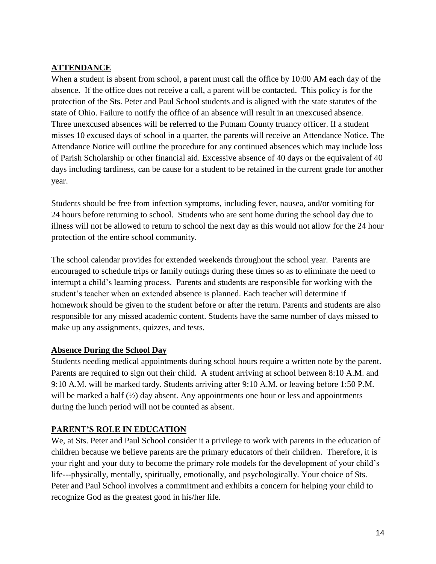# **ATTENDANCE**

When a student is absent from school, a parent must call the office by 10:00 AM each day of the absence. If the office does not receive a call, a parent will be contacted. This policy is for the protection of the Sts. Peter and Paul School students and is aligned with the state statutes of the state of Ohio. Failure to notify the office of an absence will result in an unexcused absence. Three unexcused absences will be referred to the Putnam County truancy officer. If a student misses 10 excused days of school in a quarter, the parents will receive an Attendance Notice. The Attendance Notice will outline the procedure for any continued absences which may include loss of Parish Scholarship or other financial aid. Excessive absence of 40 days or the equivalent of 40 days including tardiness, can be cause for a student to be retained in the current grade for another year.

Students should be free from infection symptoms, including fever, nausea, and/or vomiting for 24 hours before returning to school. Students who are sent home during the school day due to illness will not be allowed to return to school the next day as this would not allow for the 24 hour protection of the entire school community.

The school calendar provides for extended weekends throughout the school year. Parents are encouraged to schedule trips or family outings during these times so as to eliminate the need to interrupt a child's learning process. Parents and students are responsible for working with the student's teacher when an extended absence is planned. Each teacher will determine if homework should be given to the student before or after the return. Parents and students are also responsible for any missed academic content. Students have the same number of days missed to make up any assignments, quizzes, and tests.

# **Absence During the School Day**

Students needing medical appointments during school hours require a written note by the parent. Parents are required to sign out their child. A student arriving at school between 8:10 A.M. and 9:10 A.M. will be marked tardy. Students arriving after 9:10 A.M. or leaving before 1:50 P.M. will be marked a half ( $\frac{1}{2}$ ) day absent. Any appointments one hour or less and appointments during the lunch period will not be counted as absent.

# **PARENT'S ROLE IN EDUCATION**

We, at Sts. Peter and Paul School consider it a privilege to work with parents in the education of children because we believe parents are the primary educators of their children. Therefore, it is your right and your duty to become the primary role models for the development of your child's life---physically, mentally, spiritually, emotionally, and psychologically. Your choice of Sts. Peter and Paul School involves a commitment and exhibits a concern for helping your child to recognize God as the greatest good in his/her life.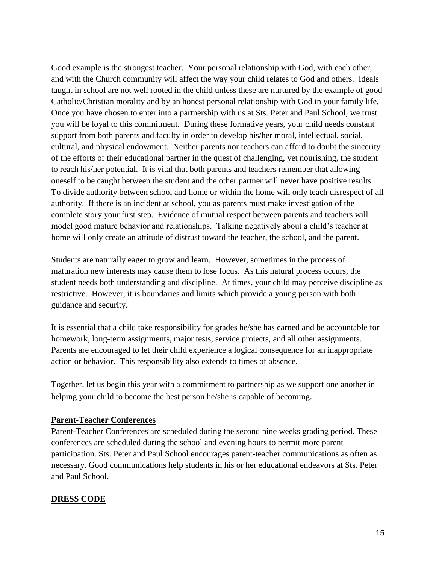Good example is the strongest teacher. Your personal relationship with God, with each other, and with the Church community will affect the way your child relates to God and others. Ideals taught in school are not well rooted in the child unless these are nurtured by the example of good Catholic/Christian morality and by an honest personal relationship with God in your family life. Once you have chosen to enter into a partnership with us at Sts. Peter and Paul School, we trust you will be loyal to this commitment. During these formative years, your child needs constant support from both parents and faculty in order to develop his/her moral, intellectual, social, cultural, and physical endowment. Neither parents nor teachers can afford to doubt the sincerity of the efforts of their educational partner in the quest of challenging, yet nourishing, the student to reach his/her potential. It is vital that both parents and teachers remember that allowing oneself to be caught between the student and the other partner will never have positive results. To divide authority between school and home or within the home will only teach disrespect of all authority. If there is an incident at school, you as parents must make investigation of the complete story your first step. Evidence of mutual respect between parents and teachers will model good mature behavior and relationships. Talking negatively about a child's teacher at home will only create an attitude of distrust toward the teacher, the school, and the parent.

Students are naturally eager to grow and learn. However, sometimes in the process of maturation new interests may cause them to lose focus. As this natural process occurs, the student needs both understanding and discipline. At times, your child may perceive discipline as restrictive. However, it is boundaries and limits which provide a young person with both guidance and security.

It is essential that a child take responsibility for grades he/she has earned and be accountable for homework, long-term assignments, major tests, service projects, and all other assignments. Parents are encouraged to let their child experience a logical consequence for an inappropriate action or behavior. This responsibility also extends to times of absence.

Together, let us begin this year with a commitment to partnership as we support one another in helping your child to become the best person he/she is capable of becoming.

#### **Parent-Teacher Conferences**

Parent-Teacher Conferences are scheduled during the second nine weeks grading period. These conferences are scheduled during the school and evening hours to permit more parent participation. Sts. Peter and Paul School encourages parent-teacher communications as often as necessary. Good communications help students in his or her educational endeavors at Sts. Peter and Paul School.

#### **DRESS CODE**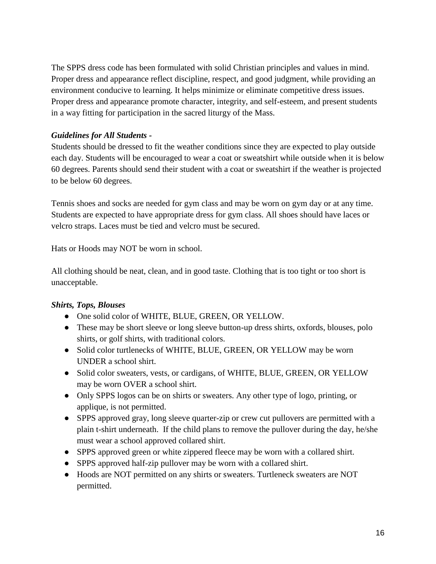The SPPS dress code has been formulated with solid Christian principles and values in mind. Proper dress and appearance reflect discipline, respect, and good judgment, while providing an environment conducive to learning. It helps minimize or eliminate competitive dress issues. Proper dress and appearance promote character, integrity, and self-esteem, and present students in a way fitting for participation in the sacred liturgy of the Mass.

#### *Guidelines for All Students -*

Students should be dressed to fit the weather conditions since they are expected to play outside each day. Students will be encouraged to wear a coat or sweatshirt while outside when it is below 60 degrees. Parents should send their student with a coat or sweatshirt if the weather is projected to be below 60 degrees.

Tennis shoes and socks are needed for gym class and may be worn on gym day or at any time. Students are expected to have appropriate dress for gym class. All shoes should have laces or velcro straps. Laces must be tied and velcro must be secured.

Hats or Hoods may NOT be worn in school.

All clothing should be neat, clean, and in good taste. Clothing that is too tight or too short is unacceptable.

#### *Shirts, Tops, Blouses*

- One solid color of WHITE, BLUE, GREEN, OR YELLOW.
- These may be short sleeve or long sleeve button-up dress shirts, oxfords, blouses, polo shirts, or golf shirts, with traditional colors.
- Solid color turtlenecks of WHITE, BLUE, GREEN, OR YELLOW may be worn UNDER a school shirt.
- Solid color sweaters, vests, or cardigans, of WHITE, BLUE, GREEN, OR YELLOW may be worn OVER a school shirt.
- Only SPPS logos can be on shirts or sweaters. Any other type of logo, printing, or applique, is not permitted.
- SPPS approved gray, long sleeve quarter-zip or crew cut pullovers are permitted with a plain t-shirt underneath. If the child plans to remove the pullover during the day, he/she must wear a school approved collared shirt.
- SPPS approved green or white zippered fleece may be worn with a collared shirt.
- SPPS approved half-zip pullover may be worn with a collared shirt.
- Hoods are NOT permitted on any shirts or sweaters. Turtleneck sweaters are NOT permitted.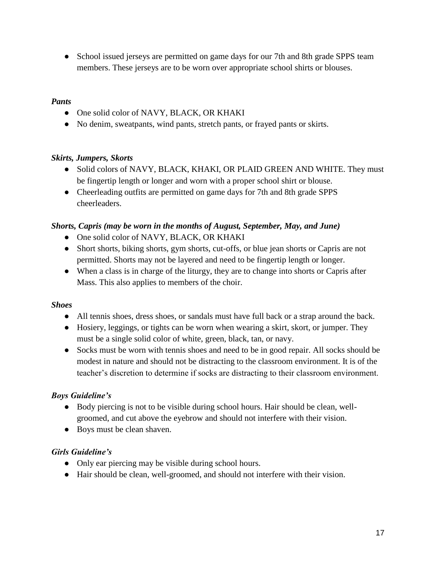• School issued jerseys are permitted on game days for our 7th and 8th grade SPPS team members. These jerseys are to be worn over appropriate school shirts or blouses.

#### *Pants*

- One solid color of NAVY, BLACK, OR KHAKI
- No denim, sweatpants, wind pants, stretch pants, or frayed pants or skirts.

#### *Skirts, Jumpers, Skorts*

- Solid colors of NAVY, BLACK, KHAKI, OR PLAID GREEN AND WHITE. They must be fingertip length or longer and worn with a proper school shirt or blouse.
- Cheerleading outfits are permitted on game days for 7th and 8th grade SPPS cheerleaders.

#### *Shorts, Capris (may be worn in the months of August, September, May, and June)*

- One solid color of NAVY, BLACK, OR KHAKI
- Short shorts, biking shorts, gym shorts, cut-offs, or blue jean shorts or Capris are not permitted. Shorts may not be layered and need to be fingertip length or longer.
- When a class is in charge of the liturgy, they are to change into shorts or Capris after Mass. This also applies to members of the choir.

#### *Shoes*

- All tennis shoes, dress shoes, or sandals must have full back or a strap around the back.
- Hosiery, leggings, or tights can be worn when wearing a skirt, skort, or jumper. They must be a single solid color of white, green, black, tan, or navy.
- Socks must be worn with tennis shoes and need to be in good repair. All socks should be modest in nature and should not be distracting to the classroom environment. It is of the teacher's discretion to determine if socks are distracting to their classroom environment.

# *Boys Guideline's*

- Body piercing is not to be visible during school hours. Hair should be clean, wellgroomed, and cut above the eyebrow and should not interfere with their vision.
- Boys must be clean shaven.

# *Girls Guideline's*

- Only ear piercing may be visible during school hours.
- Hair should be clean, well-groomed, and should not interfere with their vision.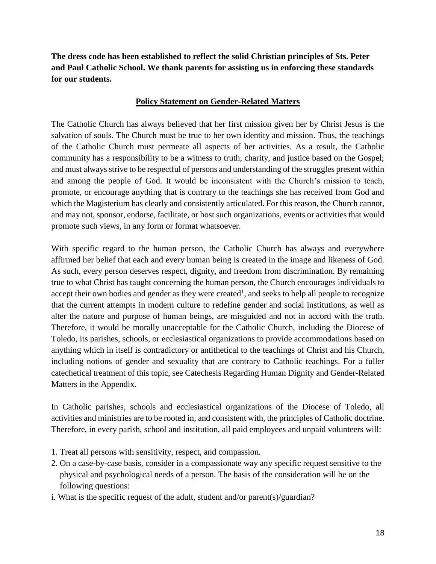**The dress code has been established to reflect the solid Christian principles of Sts. Peter and Paul Catholic School. We thank parents for assisting us in enforcing these standards for our students.** 

#### **Policy Statement on Gender-Related Matters**

The Catholic Church has always believed that her first mission given her by Christ Jesus is the salvation of souls. The Church must be true to her own identity and mission. Thus, the teachings of the Catholic Church must permeate all aspects of her activities. As a result, the Catholic community has a responsibility to be a witness to truth, charity, and justice based on the Gospel; and must always strive to be respectful of persons and understanding of the struggles present within and among the people of God. It would be inconsistent with the Church's mission to teach, promote, or encourage anything that is contrary to the teachings she has received from God and which the Magisterium has clearly and consistently articulated. For this reason, the Church cannot, and may not, sponsor, endorse, facilitate, or host such organizations, events or activities that would promote such views, in any form or format whatsoever.

With specific regard to the human person, the Catholic Church has always and everywhere affirmed her belief that each and every human being is created in the image and likeness of God. As such, every person deserves respect, dignity, and freedom from discrimination. By remaining true to what Christ has taught concerning the human person, the Church encourages individuals to accept their own bodies and gender as they were created<sup>1</sup>, and seeks to help all people to recognize that the current attempts in modern culture to redefine gender and social institutions, as well as alter the nature and purpose of human beings, are misguided and not in accord with the truth. Therefore, it would be morally unacceptable for the Catholic Church, including the Diocese of Toledo, its parishes, schools, or ecclesiastical organizations to provide accommodations based on anything which in itself is contradictory or antithetical to the teachings of Christ and his Church, including notions of gender and sexuality that are contrary to Catholic teachings. For a fuller catechetical treatment of this topic, see Catechesis Regarding Human Dignity and Gender-Related Matters in the Appendix.

In Catholic parishes, schools and ecclesiastical organizations of the Diocese of Toledo, all activities and ministries are to be rooted in, and consistent with, the principles of Catholic doctrine. Therefore, in every parish, school and institution, all paid employees and unpaid volunteers will:

- 1. Treat all persons with sensitivity, respect, and compassion.
- 2. On a case-by-case basis, consider in a compassionate way any specific request sensitive to the physical and psychological needs of a person. The basis of the consideration will be on the following questions:
- i. What is the specific request of the adult, student and/or parent(s)/guardian?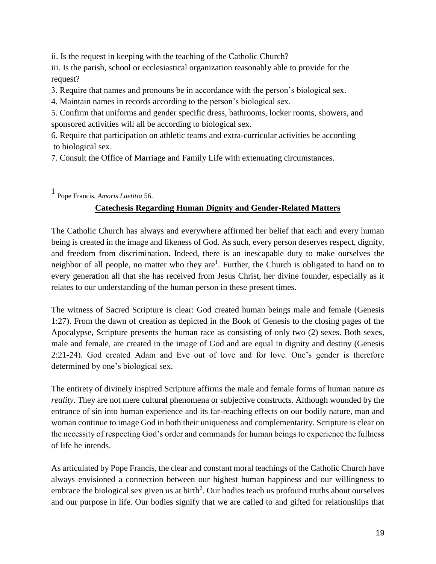ii. Is the request in keeping with the teaching of the Catholic Church?

iii. Is the parish, school or ecclesiastical organization reasonably able to provide for the request?

3. Require that names and pronouns be in accordance with the person's biological sex.

4. Maintain names in records according to the person's biological sex.

5. Confirm that uniforms and gender specific dress, bathrooms, locker rooms, showers, and sponsored activities will all be according to biological sex.

6. Require that participation on athletic teams and extra-curricular activities be according to biological sex.

7. Consult the Office of Marriage and Family Life with extenuating circumstances.

<sup>1</sup>Pope Francis, *Amoris Laetitia* 56.

# **Catechesis Regarding Human Dignity and Gender-Related Matters**

The Catholic Church has always and everywhere affirmed her belief that each and every human being is created in the image and likeness of God. As such, every person deserves respect, dignity, and freedom from discrimination. Indeed, there is an inescapable duty to make ourselves the neighbor of all people, no matter who they are<sup>1</sup>. Further, the Church is obligated to hand on to every generation all that she has received from Jesus Christ, her divine founder, especially as it relates to our understanding of the human person in these present times.

The witness of Sacred Scripture is clear: God created human beings male and female (Genesis 1:27). From the dawn of creation as depicted in the Book of Genesis to the closing pages of the Apocalypse, Scripture presents the human race as consisting of only two (2) sexes. Both sexes, male and female, are created in the image of God and are equal in dignity and destiny (Genesis 2:21-24). God created Adam and Eve out of love and for love. One's gender is therefore determined by one's biological sex.

The entirety of divinely inspired Scripture affirms the male and female forms of human nature *as reality*. They are not mere cultural phenomena or subjective constructs. Although wounded by the entrance of sin into human experience and its far-reaching effects on our bodily nature, man and woman continue to image God in both their uniqueness and complementarity. Scripture is clear on the necessity of respecting God's order and commands for human beings to experience the fullness of life he intends.

As articulated by Pope Francis, the clear and constant moral teachings of the Catholic Church have always envisioned a connection between our highest human happiness and our willingness to embrace the biological sex given us at birth<sup>2</sup>. Our bodies teach us profound truths about ourselves and our purpose in life. Our bodies signify that we are called to and gifted for relationships that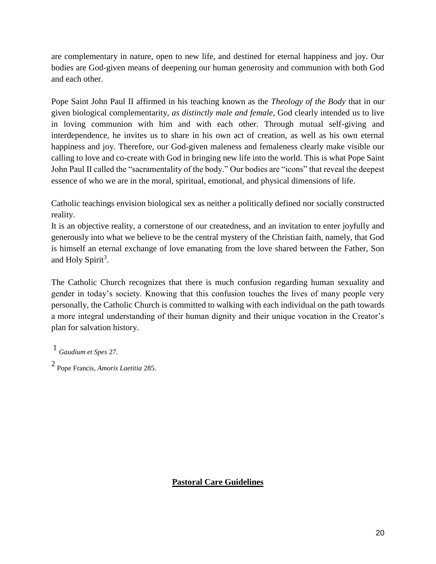are complementary in nature, open to new life, and destined for eternal happiness and joy. Our bodies are God-given means of deepening our human generosity and communion with both God and each other.

Pope Saint John Paul II affirmed in his teaching known as the *Theology of the Body* that in our given biological complementarity, *as distinctly male and female*, God clearly intended us to live in loving communion with him and with each other. Through mutual self-giving and interdependence, he invites us to share in his own act of creation, as well as his own eternal happiness and joy. Therefore, our God-given maleness and femaleness clearly make visible our calling to love and co-create with God in bringing new life into the world. This is what Pope Saint John Paul II called the "sacramentality of the body." Our bodies are "icons" that reveal the deepest essence of who we are in the moral, spiritual, emotional, and physical dimensions of life.

Catholic teachings envision biological sex as neither a politically defined nor socially constructed reality.

It is an objective reality, a cornerstone of our createdness, and an invitation to enter joyfully and generously into what we believe to be the central mystery of the Christian faith, namely, that God is himself an eternal exchange of love emanating from the love shared between the Father, Son and Holy Spirit<sup>3</sup>.

The Catholic Church recognizes that there is much confusion regarding human sexuality and gender in today's society. Knowing that this confusion touches the lives of many people very personally, the Catholic Church is committed to walking with each individual on the path towards a more integral understanding of their human dignity and their unique vocation in the Creator's plan for salvation history.

<sup>1</sup>*Gaudium et Spes* 27.

2 Pope Francis, *Amoris Laetitia* 285.

**Pastoral Care Guidelines**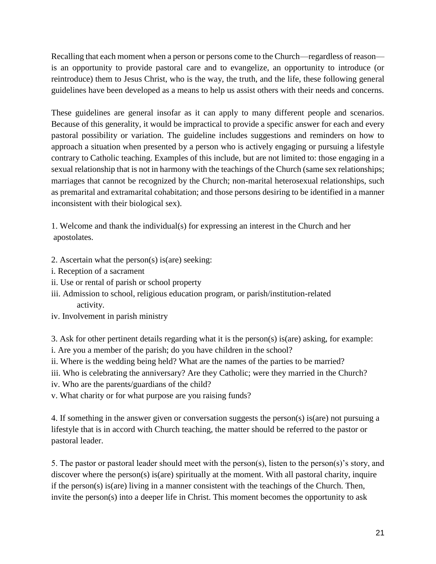Recalling that each moment when a person or persons come to the Church—regardless of reason is an opportunity to provide pastoral care and to evangelize, an opportunity to introduce (or reintroduce) them to Jesus Christ, who is the way, the truth, and the life, these following general guidelines have been developed as a means to help us assist others with their needs and concerns.

These guidelines are general insofar as it can apply to many different people and scenarios. Because of this generality, it would be impractical to provide a specific answer for each and every pastoral possibility or variation. The guideline includes suggestions and reminders on how to approach a situation when presented by a person who is actively engaging or pursuing a lifestyle contrary to Catholic teaching. Examples of this include, but are not limited to: those engaging in a sexual relationship that is not in harmony with the teachings of the Church (same sex relationships; marriages that cannot be recognized by the Church; non-marital heterosexual relationships, such as premarital and extramarital cohabitation; and those persons desiring to be identified in a manner inconsistent with their biological sex).

1. Welcome and thank the individual(s) for expressing an interest in the Church and her apostolates.

- 2. Ascertain what the person(s) is(are) seeking:
- i. Reception of a sacrament
- ii. Use or rental of parish or school property
- iii. Admission to school, religious education program, or parish/institution-related activity.
- iv. Involvement in parish ministry

3. Ask for other pertinent details regarding what it is the person(s) is(are) asking, for example:

- i. Are you a member of the parish; do you have children in the school?
- ii. Where is the wedding being held? What are the names of the parties to be married?
- iii. Who is celebrating the anniversary? Are they Catholic; were they married in the Church?
- iv. Who are the parents/guardians of the child?
- v. What charity or for what purpose are you raising funds?

4. If something in the answer given or conversation suggests the person(s) is(are) not pursuing a lifestyle that is in accord with Church teaching, the matter should be referred to the pastor or pastoral leader.

5. The pastor or pastoral leader should meet with the person(s), listen to the person(s)'s story, and discover where the person(s) is(are) spiritually at the moment. With all pastoral charity, inquire if the person(s) is(are) living in a manner consistent with the teachings of the Church. Then, invite the person(s) into a deeper life in Christ. This moment becomes the opportunity to ask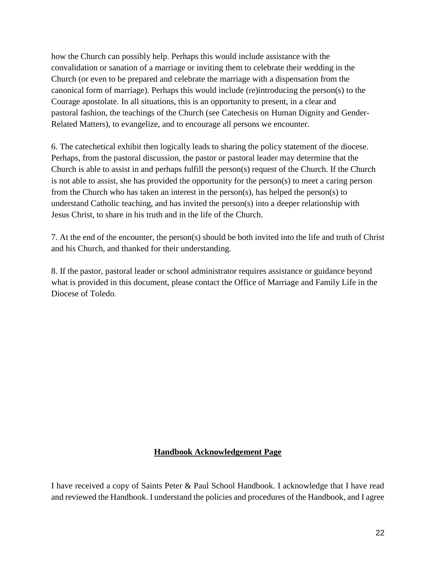how the Church can possibly help. Perhaps this would include assistance with the convalidation or sanation of a marriage or inviting them to celebrate their wedding in the Church (or even to be prepared and celebrate the marriage with a dispensation from the canonical form of marriage). Perhaps this would include (re)introducing the person(s) to the Courage apostolate. In all situations, this is an opportunity to present, in a clear and pastoral fashion, the teachings of the Church (see Catechesis on Human Dignity and Gender-Related Matters), to evangelize, and to encourage all persons we encounter.

6. The catechetical exhibit then logically leads to sharing the policy statement of the diocese. Perhaps, from the pastoral discussion, the pastor or pastoral leader may determine that the Church is able to assist in and perhaps fulfill the person(s) request of the Church. If the Church is not able to assist, she has provided the opportunity for the person(s) to meet a caring person from the Church who has taken an interest in the person(s), has helped the person(s) to understand Catholic teaching, and has invited the person(s) into a deeper relationship with Jesus Christ, to share in his truth and in the life of the Church.

7. At the end of the encounter, the person(s) should be both invited into the life and truth of Christ and his Church, and thanked for their understanding.

8. If the pastor, pastoral leader or school administrator requires assistance or guidance beyond what is provided in this document, please contact the Office of Marriage and Family Life in the Diocese of Toledo.

#### **Handbook Acknowledgement Page**

I have received a copy of Saints Peter & Paul School Handbook. I acknowledge that I have read and reviewed the Handbook. I understand the policies and procedures of the Handbook, and I agree